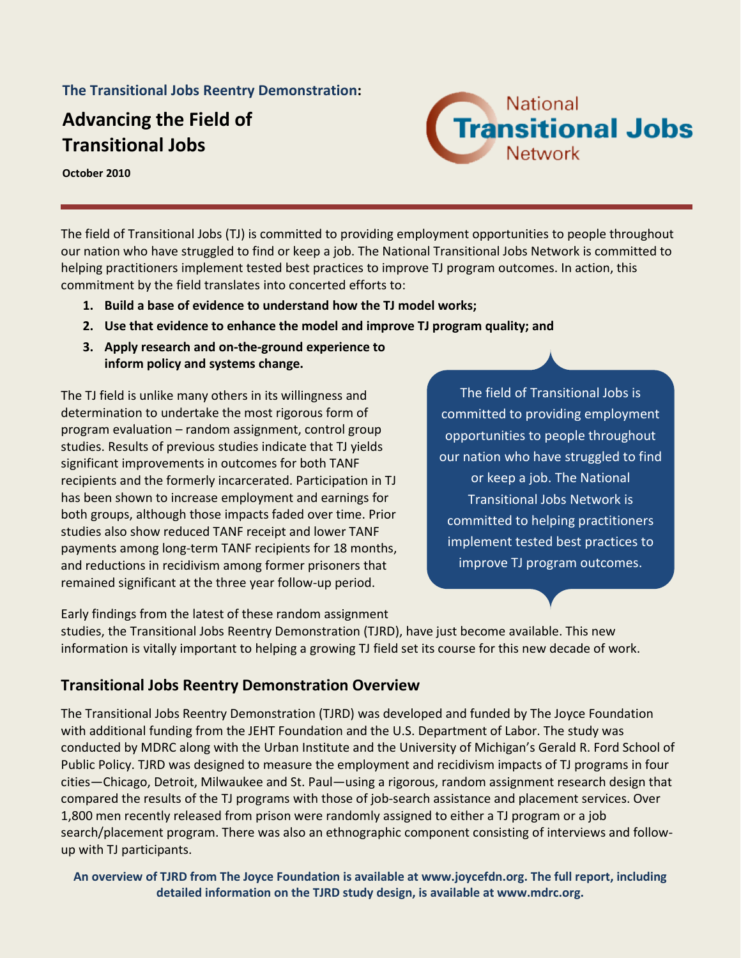**The Transitional Jobs Reentry Demonstration:**

# **Advancing the Field of Transitional Jobs**



**October 2010**

The field of Transitional Jobs (TJ) is committed to providing employment opportunities to people throughout our nation who have struggled to find or keep a job. The National Transitional Jobs Network is committed to helping practitioners implement tested best practices to improve TJ program outcomes. In action, this commitment by the field translates into concerted efforts to:

- **1. Build a base of evidence to understand how the TJ model works;**
- **2. Use that evidence to enhance the model and improve TJ program quality; and**
- **3. Apply research and on-the-ground experience to inform policy and systems change.**

The TJ field is unlike many others in its willingness and determination to undertake the most rigorous form of program evaluation – random assignment, control group studies. Results of previous studies indicate that TJ yields significant improvements in outcomes for both TANF recipients and the formerly incarcerated. Participation in TJ has been shown to increase employment and earnings for both groups, although those impacts faded over time. Prior studies also show reduced TANF receipt and lower TANF payments among long-term TANF recipients for 18 months, and reductions in recidivism among former prisoners that remained significant at the three year follow-up period.

The field of Transitional Jobs is committed to providing employment opportunities to people throughout our nation who have struggled to find or keep a job. The National Transitional Jobs Network is committed to helping practitioners implement tested best practices to improve TJ program outcomes.

Early findings from the latest of these random assignment

studies, the Transitional Jobs Reentry Demonstration (TJRD), have just become available. This new information is vitally important to helping a growing TJ field set its course for this new decade of work.

## **Transitional Jobs Reentry Demonstration Overview**

The Transitional Jobs Reentry Demonstration (TJRD) was developed and funded by The Joyce Foundation with additional funding from the JEHT Foundation and the U.S. Department of Labor. The study was conducted by MDRC along with the Urban Institute and the University of Michigan's Gerald R. Ford School of Public Policy. TJRD was designed to measure the employment and recidivism impacts of TJ programs in four cities—Chicago, Detroit, Milwaukee and St. Paul—using a rigorous, random assignment research design that compared the results of the TJ programs with those of job-search assistance and placement services. Over 1,800 men recently released from prison were randomly assigned to either a TJ program or a job search/placement program. There was also an ethnographic component consisting of interviews and followup with TJ participants.

**An overview of TJRD from The Joyce Foundation is available at www.joycefdn.org. The full report, including detailed information on the TJRD study design, is available at www.mdrc.org.**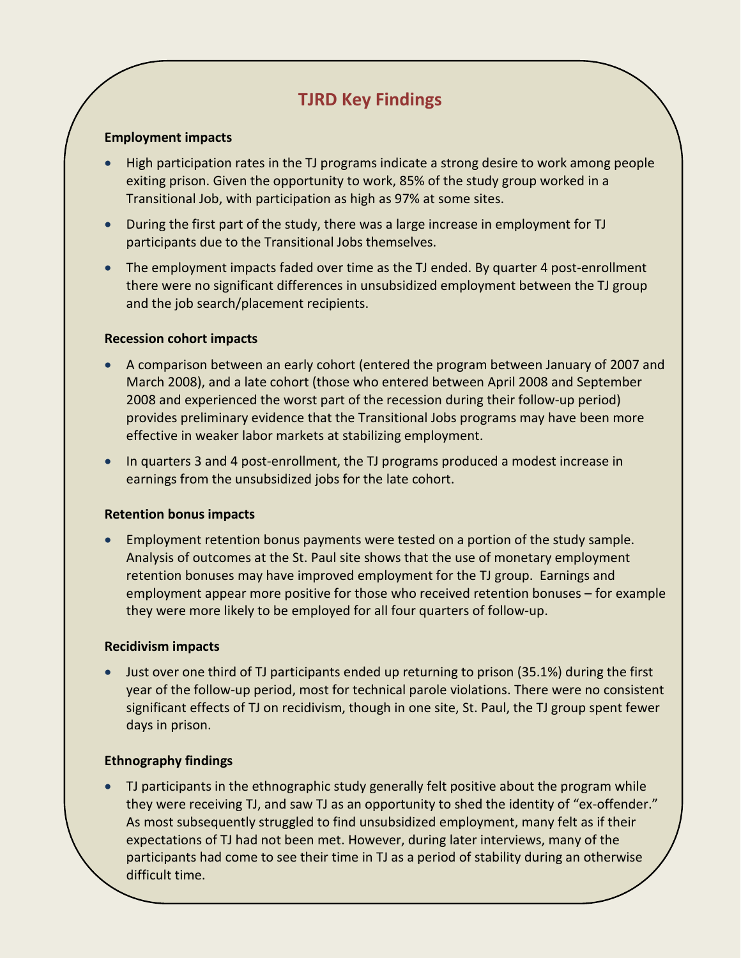## **TJRD Key Findings**

#### **Employment impacts**

- High participation rates in the TJ programs indicate a strong desire to work among people exiting prison. Given the opportunity to work, 85% of the study group worked in a Transitional Job, with participation as high as 97% at some sites.
- During the first part of the study, there was a large increase in employment for TJ participants due to the Transitional Jobs themselves.
- The employment impacts faded over time as the TJ ended. By quarter 4 post-enrollment there were no significant differences in unsubsidized employment between the TJ group and the job search/placement recipients.

#### **Recession cohort impacts**

- A comparison between an early cohort (entered the program between January of 2007 and March 2008), and a late cohort (those who entered between April 2008 and September 2008 and experienced the worst part of the recession during their follow-up period) provides preliminary evidence that the Transitional Jobs programs may have been more effective in weaker labor markets at stabilizing employment.
- In quarters 3 and 4 post-enrollment, the TJ programs produced a modest increase in earnings from the unsubsidized jobs for the late cohort.

#### **Retention bonus impacts**

• Employment retention bonus payments were tested on a portion of the study sample. Analysis of outcomes at the St. Paul site shows that the use of monetary employment retention bonuses may have improved employment for the TJ group. Earnings and employment appear more positive for those who received retention bonuses – for example they were more likely to be employed for all four quarters of follow-up.

#### **Recidivism impacts**

• Just over one third of TJ participants ended up returning to prison (35.1%) during the first year of the follow-up period, most for technical parole violations. There were no consistent significant effects of TJ on recidivism, though in one site, St. Paul, the TJ group spent fewer days in prison.

#### **Ethnography findings**

• TJ participants in the ethnographic study generally felt positive about the program while they were receiving TJ, and saw TJ as an opportunity to shed the identity of "ex-offender." As most subsequently struggled to find unsubsidized employment, many felt as if their expectations of TJ had not been met. However, during later interviews, many of the participants had come to see their time in TJ as a period of stability during an otherwise difficult time.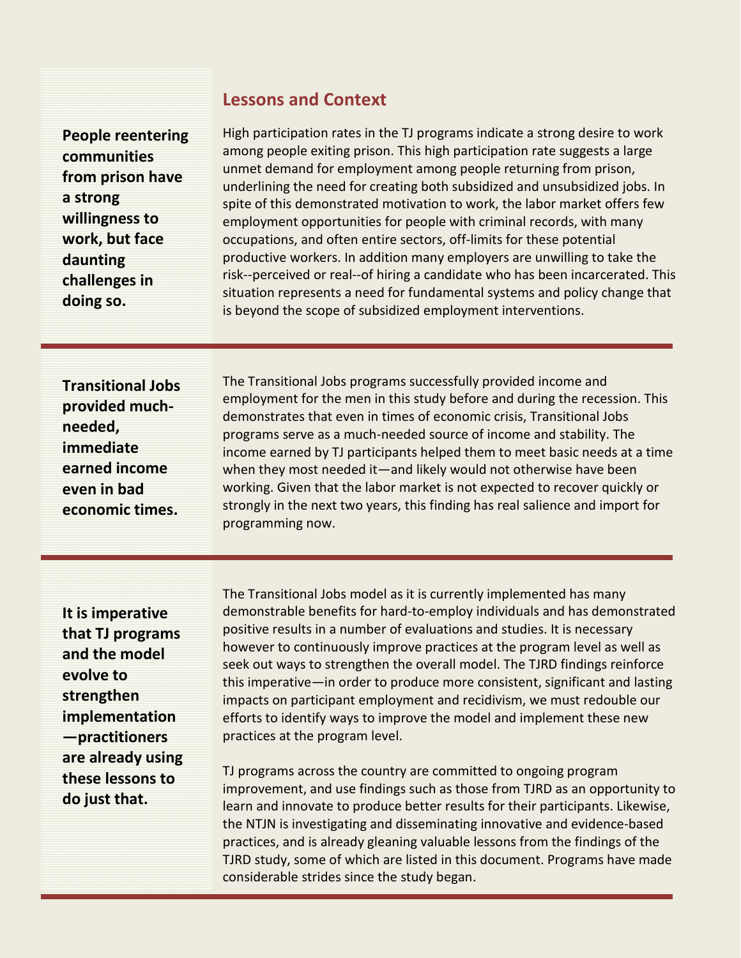## **Lessons and Context**

**People reentering communities from prison have a strong willingness to work, but face daunting challenges in doing so.**

High participation rates in the TJ programs indicate a strong desire to work among people exiting prison. This high participation rate suggests a large unmet demand for employment among people returning from prison, underlining the need for creating both subsidized and unsubsidized jobs. In spite of this demonstrated motivation to work, the labor market offers few employment opportunities for people with criminal records, with many occupations, and often entire sectors, off-limits for these potential productive workers. In addition many employers are unwilling to take the risk--perceived or real--of hiring a candidate who has been incarcerated. This situation represents a need for fundamental systems and policy change that is beyond the scope of subsidized employment interventions.

**Transitional Jobs provided muchneeded, immediate earned income even in bad economic times.**

The Transitional Jobs programs successfully provided income and employment for the men in this study before and during the recession. This demonstrates that even in times of economic crisis, Transitional Jobs programs serve as a much-needed source of income and stability. The income earned by TJ participants helped them to meet basic needs at a time when they most needed it—and likely would not otherwise have been working. Given that the labor market is not expected to recover quickly or strongly in the next two years, this finding has real salience and import for programming now.

**It is imperative that TJ programs and the model evolve to strengthen implementation —practitioners are already using these lessons to do just that.**

The Transitional Jobs model as it is currently implemented has many demonstrable benefits for hard-to-employ individuals and has demonstrated positive results in a number of evaluations and studies. It is necessary however to continuously improve practices at the program level as well as seek out ways to strengthen the overall model. The TJRD findings reinforce this imperative—in order to produce more consistent, significant and lasting impacts on participant employment and recidivism, we must redouble our efforts to identify ways to improve the model and implement these new practices at the program level.

TJ programs across the country are committed to ongoing program improvement, and use findings such as those from TJRD as an opportunity to learn and innovate to produce better results for their participants. Likewise, the NTJN is investigating and disseminating innovative and evidence-based practices, and is already gleaning valuable lessons from the findings of the TJRD study, some of which are listed in this document. Programs have made considerable strides since the study began.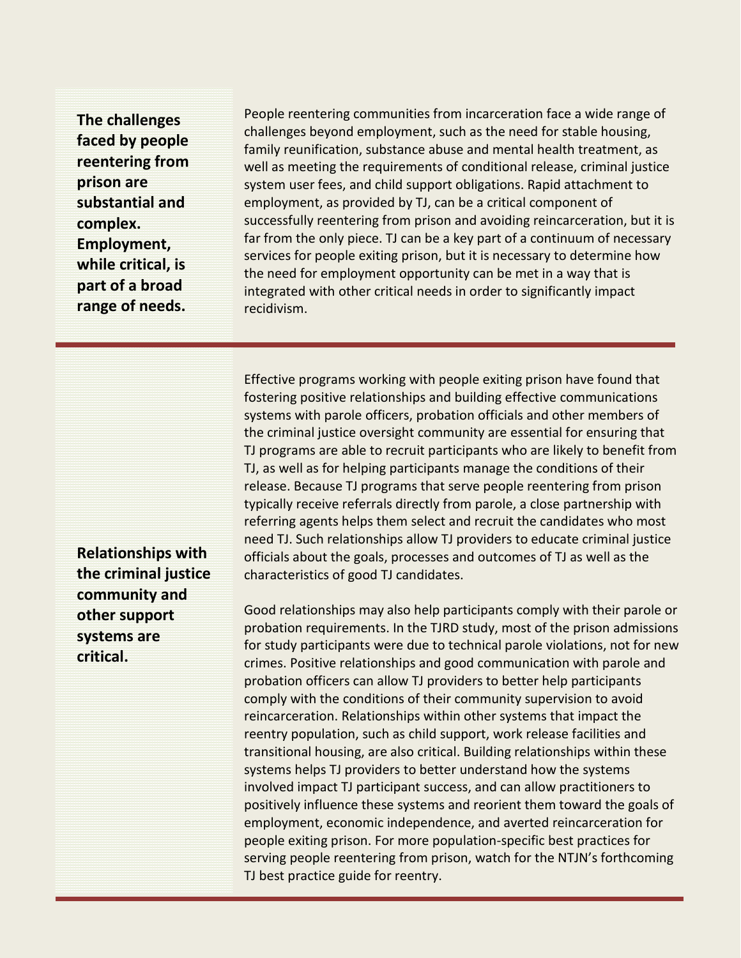**The challenges faced by people reentering from prison are substantial and complex. Employment, while critical, is part of a broad range of needs.**

People reentering communities from incarceration face a wide range of challenges beyond employment, such as the need for stable housing, family reunification, substance abuse and mental health treatment, as well as meeting the requirements of conditional release, criminal justice system user fees, and child support obligations. Rapid attachment to employment, as provided by TJ, can be a critical component of successfully reentering from prison and avoiding reincarceration, but it is far from the only piece. TJ can be a key part of a continuum of necessary services for people exiting prison, but it is necessary to determine how the need for employment opportunity can be met in a way that is integrated with other critical needs in order to significantly impact recidivism.

Effective programs working with people exiting prison have found that fostering positive relationships and building effective communications systems with parole officers, probation officials and other members of the criminal justice oversight community are essential for ensuring that TJ programs are able to recruit participants who are likely to benefit from TJ, as well as for helping participants manage the conditions of their release. Because TJ programs that serve people reentering from prison typically receive referrals directly from parole, a close partnership with referring agents helps them select and recruit the candidates who most need TJ. Such relationships allow TJ providers to educate criminal justice officials about the goals, processes and outcomes of TJ as well as the characteristics of good TJ candidates.

Good relationships may also help participants comply with their parole or probation requirements. In the TJRD study, most of the prison admissions for study participants were due to technical parole violations, not for new crimes. Positive relationships and good communication with parole and probation officers can allow TJ providers to better help participants comply with the conditions of their community supervision to avoid reincarceration. Relationships within other systems that impact the reentry population, such as child support, work release facilities and transitional housing, are also critical. Building relationships within these systems helps TJ providers to better understand how the systems involved impact TJ participant success, and can allow practitioners to positively influence these systems and reorient them toward the goals of employment, economic independence, and averted reincarceration for people exiting prison. For more population-specific best practices for serving people reentering from prison, watch for the NTJN's forthcoming TJ best practice guide for reentry.

**Relationships with the criminal justice community and other support systems are critical.**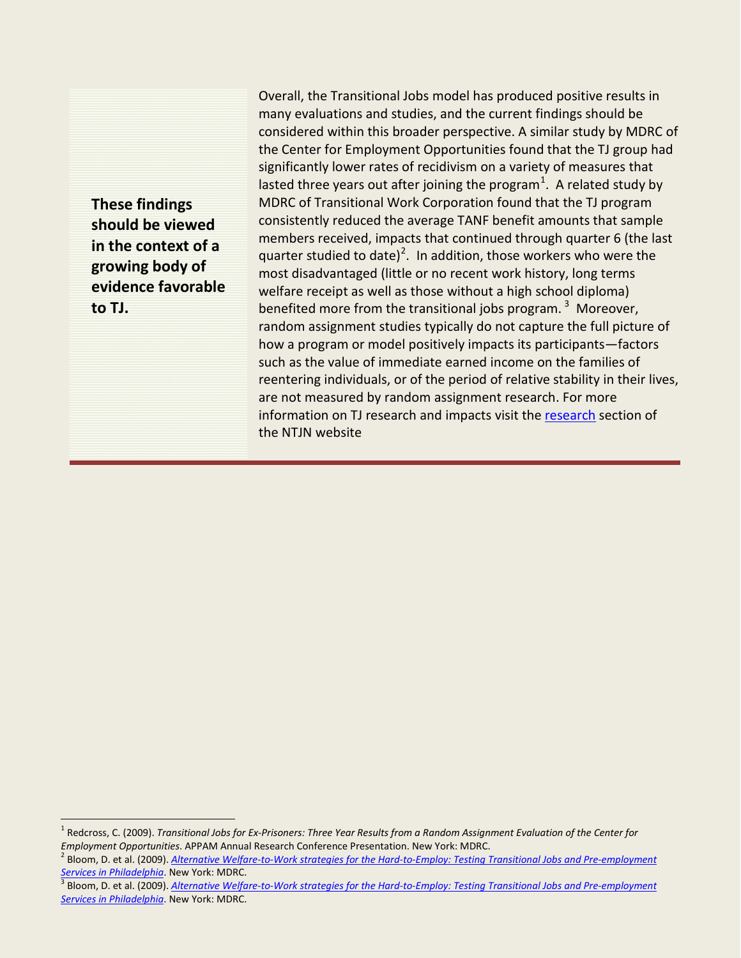**These findings should be viewed in the context of a growing body of evidence favorable to TJ.**

Overall, the Transitional Jobs model has produced positive results in many evaluations and studies, and the current findings should be considered within this broader perspective. A similar study by MDRC of the Center for Employment Opportunities found that the TJ group had significantly lower rates of recidivism on a variety of measures that lasted three years out after joining the program<sup>[1](#page-4-0)</sup>. A related study by MDRC of Transitional Work Corporation found that the TJ program consistently reduced the average TANF benefit amounts that sample members received, impacts that continued through quarter 6 (the last quarter studied to date)<sup>[2](#page-4-1)</sup>. In addition, those workers who were the most disadvantaged (little or no recent work history, long terms welfare receipt as well as those without a high school diploma) benefited more from the transitional jobs program.  $3$  Moreover, random assignment studies typically do not capture the full picture of how a program or model positively impacts its participants—factors such as the value of immediate earned income on the families of reentering individuals, or of the period of relative stability in their lives, are not measured by random assignment research. For more information on TJ research and impacts visit the [research](http://www.heartlandalliance.org/ntjn/research--evaluation/research.html) section of the NTJN website

<span id="page-4-0"></span><sup>1</sup> Redcross, C. (2009). *Transitional Jobs for Ex-Prisoners: Three Year Results from a Random Assignment Evaluation of the Center for*  Employment Opportunities. APPAM Annual Research Conference Presentation. New York: MDRC.<br><sup>2</sup> Bloom, D. et al. (2009). Alternative Welfare-to-Work strategies for the Hard-to-Employ: Testing Transitional Jobs and Pre-employm

<span id="page-4-1"></span>*[Services in Philadelphia](http://www.mdrc.org/publications/537/overview.html)*. New York: MDRC.<br><sup>3</sup> Bloom, D. et al. (2009). <u>Alternative Welfare-to-Work strategies for the Hard-to-Employ: Testing Transitional Jobs and Pre-employment</u>

<span id="page-4-2"></span>*[Services in Philadelphia](http://www.mdrc.org/publications/537/overview.html)*. New York: MDRC.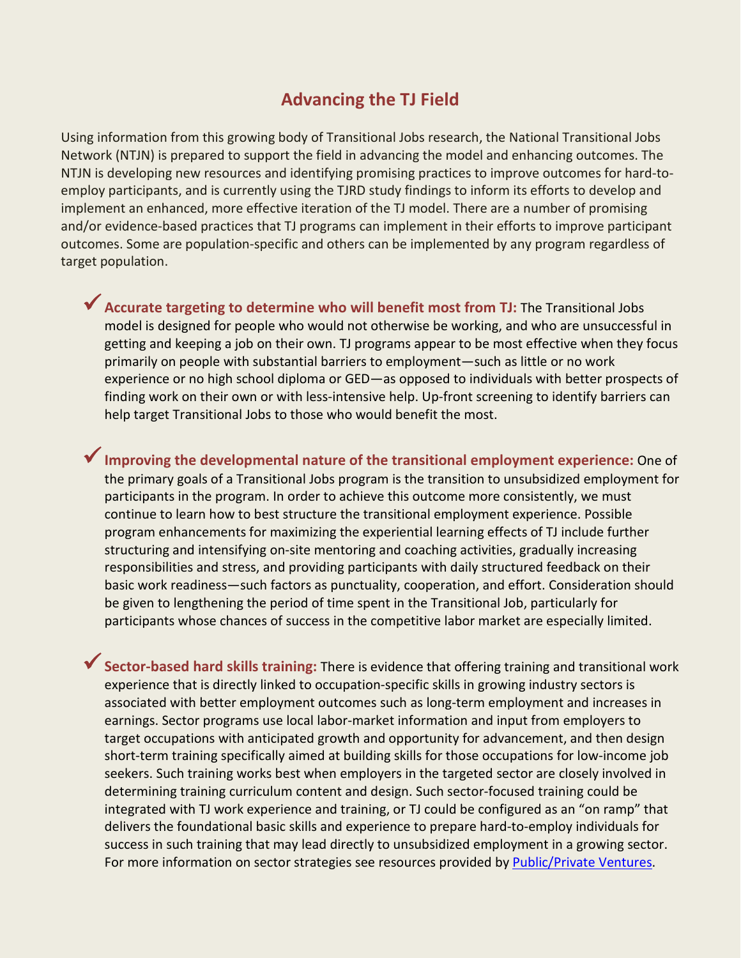## **Advancing the TJ Field**

Using information from this growing body of Transitional Jobs research, the National Transitional Jobs Network (NTJN) is prepared to support the field in advancing the model and enhancing outcomes. The NTJN is developing new resources and identifying promising practices to improve outcomes for hard-toemploy participants, and is currently using the TJRD study findings to inform its efforts to develop and implement an enhanced, more effective iteration of the TJ model. There are a number of promising and/or evidence-based practices that TJ programs can implement in their efforts to improve participant outcomes. Some are population-specific and others can be implemented by any program regardless of target population.

**Accurate targeting to determine who will benefit most from TJ:** The Transitional Jobs model is designed for people who would not otherwise be working, and who are unsuccessful in getting and keeping a job on their own. TJ programs appear to be most effective when they focus primarily on people with substantial barriers to employment—such as little or no work experience or no high school diploma or GED—as opposed to individuals with better prospects of finding work on their own or with less-intensive help. Up-front screening to identify barriers can help target Transitional Jobs to those who would benefit the most.

**Improving the developmental nature of the transitional employment experience:** One of the primary goals of a Transitional Jobs program is the transition to unsubsidized employment for participants in the program. In order to achieve this outcome more consistently, we must continue to learn how to best structure the transitional employment experience. Possible program enhancements for maximizing the experiential learning effects of TJ include further structuring and intensifying on-site mentoring and coaching activities, gradually increasing responsibilities and stress, and providing participants with daily structured feedback on their basic work readiness—such factors as punctuality, cooperation, and effort. Consideration should be given to lengthening the period of time spent in the Transitional Job, particularly for participants whose chances of success in the competitive labor market are especially limited.

**Sector-based hard skills training:** There is evidence that offering training and transitional work experience that is directly linked to occupation-specific skills in growing industry sectors is associated with better employment outcomes such as long-term employment and increases in earnings. Sector programs use local labor-market information and input from employers to target occupations with anticipated growth and opportunity for advancement, and then design short-term training specifically aimed at building skills for those occupations for low-income job seekers. Such training works best when employers in the targeted sector are closely involved in determining training curriculum content and design. Such sector-focused training could be integrated with TJ work experience and training, or TJ could be configured as an "on ramp" that delivers the foundational basic skills and experience to prepare hard-to-employ individuals for success in such training that may lead directly to unsubsidized employment in a growing sector. For more information on sector strategies see resources provided by [Public/Private Ventures.](http://www.ppv.org/ppv/publications/assets/294_publication.pdf)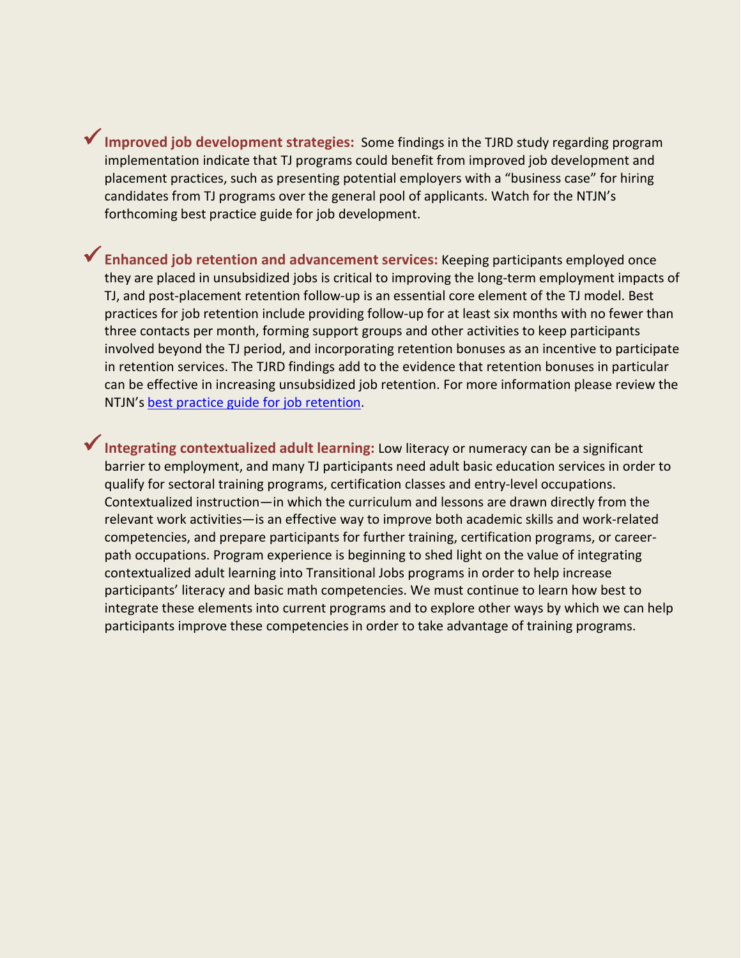**Improved job development strategies:** Some findings in the TJRD study regarding program implementation indicate that TJ programs could benefit from improved job development and placement practices, such as presenting potential employers with a "business case" for hiring candidates from TJ programs over the general pool of applicants. Watch for the NTJN's forthcoming best practice guide for job development.

**Enhanced job retention and advancement services:** Keeping participants employed once they are placed in unsubsidized jobs is critical to improving the long-term employment impacts of TJ, and post-placement retention follow-up is an essential core element of the TJ model. Best practices for job retention include providing follow-up for at least six months with no fewer than three contacts per month, forming support groups and other activities to keep participants involved beyond the TJ period, and incorporating retention bonuses as an incentive to participate in retention services. The TJRD findings add to the evidence that retention bonuses in particular can be effective in increasing unsubsidized job retention. For more information please review the NTJN's [best practice guide for job retention.](http://www.heartlandalliance.org/ntjn/program-resources/program-design--best-practices/retention-article-7-16-09.pdf)

**Integrating contextualized adult learning:** Low literacy or numeracy can be a significant barrier to employment, and many TJ participants need adult basic education services in order to qualify for sectoral training programs, certification classes and entry-level occupations. Contextualized instruction—in which the curriculum and lessons are drawn directly from the relevant work activities—is an effective way to improve both academic skills and work-related competencies, and prepare participants for further training, certification programs, or careerpath occupations. Program experience is beginning to shed light on the value of integrating contextualized adult learning into Transitional Jobs programs in order to help increase participants' literacy and basic math competencies. We must continue to learn how best to integrate these elements into current programs and to explore other ways by which we can help participants improve these competencies in order to take advantage of training programs.